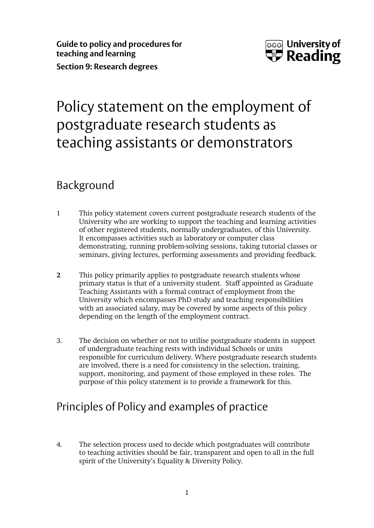

# Policy statement on the employment of postgraduate research students as teaching assistants or demonstrators

### Background

- 1 This policy statement covers current postgraduate research students of the University who are working to support the teaching and learning activities of other registered students, normally undergraduates, of this University. It encompasses activities such as laboratory or computer class demonstrating, running problem-solving sessions, taking tutorial classes or seminars, giving lectures, performing assessments and providing feedback.
- **2** This policy primarily applies to postgraduate research students whose primary status is that of a university student. Staff appointed as Graduate Teaching Assistants with a formal contract of employment from the University which encompasses PhD study and teaching responsibilities with an associated salary, may be covered by some aspects of this policy depending on the length of the employment contract.
- 3. The decision on whether or not to utilise postgraduate students in support of undergraduate teaching rests with individual Schools or units responsible for curriculum delivery. Where postgraduate research students are involved, there is a need for consistency in the selection, training, support, monitoring, and payment of those employed in these roles. The purpose of this policy statement is to provide a framework for this.

## Principles of Policy and examples of practice

4. The selection process used to decide which postgraduates will contribute to teaching activities should be fair, transparent and open to all in the full spirit of the University's Equality & Diversity Policy.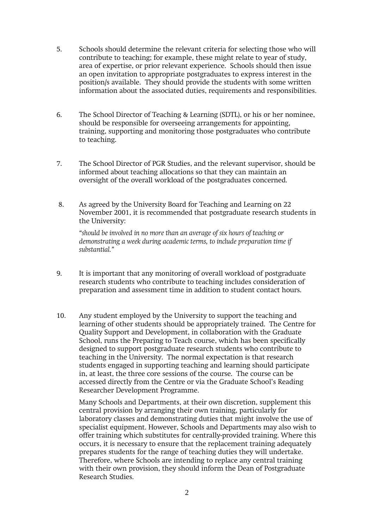- 5. Schools should determine the relevant criteria for selecting those who will contribute to teaching; for example, these might relate to year of study, area of expertise, or prior relevant experience. Schools should then issue an open invitation to appropriate postgraduates to express interest in the position/s available. They should provide the students with some written information about the associated duties, requirements and responsibilities.
- 6. The School Director of Teaching & Learning (SDTL), or his or her nominee, should be responsible for overseeing arrangements for appointing, training, supporting and monitoring those postgraduates who contribute to teaching.
- 7. The School Director of PGR Studies, and the relevant supervisor, should be informed about teaching allocations so that they can maintain an oversight of the overall workload of the postgraduates concerned.
- 8. As agreed by the University Board for Teaching and Learning on 22 November 2001, it is recommended that postgraduate research students in the University:

*"should be involved in no more than an average of six hours of teaching or demonstrating a week during academic terms, to include preparation time if substantial."*

- 9. It is important that any monitoring of overall workload of postgraduate research students who contribute to teaching includes consideration of preparation and assessment time in addition to student contact hours.
- 10. Any student employed by the University to support the teaching and learning of other students should be appropriately trained. The Centre for Quality Support and Development, in collaboration with the Graduate School, runs the Preparing to Teach course, which has been specifically designed to support postgraduate research students who contribute to teaching in the University. The normal expectation is that research students engaged in supporting teaching and learning should participate in, at least, the three core sessions of the course. The course can be accessed directly from the Centre or via the Graduate School's Reading Researcher Development Programme.

Many Schools and Departments, at their own discretion, supplement this central provision by arranging their own training, particularly for laboratory classes and demonstrating duties that might involve the use of specialist equipment. However, Schools and Departments may also wish to offer training which substitutes for centrally-provided training. Where this occurs, it is necessary to ensure that the replacement training adequately prepares students for the range of teaching duties they will undertake. Therefore, where Schools are intending to replace any central training with their own provision, they should inform the Dean of Postgraduate Research Studies.